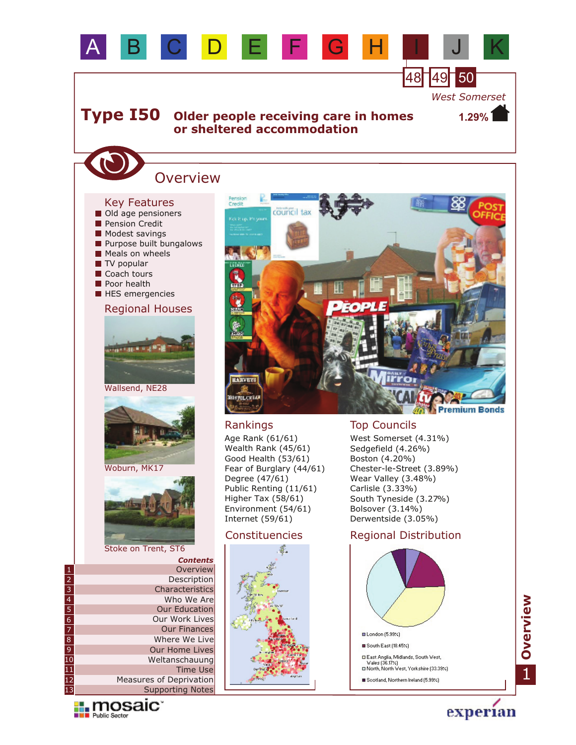

Constituencies

S.

### Stoke on Trent, ST6

|                 | <b>Contents</b>         |
|-----------------|-------------------------|
| $\mathbf{1}$    | Overview                |
| $\frac{2}{3}$   | Description             |
|                 | Characteristics         |
| $\overline{4}$  | Who We Are              |
| $\overline{5}$  | <b>Our Education</b>    |
| $\frac{6}{7}$   | Our Work Lives          |
|                 | <b>Our Finances</b>     |
| $\overline{8}$  | Where We Live           |
| $\overline{9}$  | Our Home Lives          |
| $\overline{10}$ | Weltanschauung          |
| $\overline{11}$ | <b>Time Use</b>         |
| $\overline{12}$ | Measures of Deprivation |
| $\overline{13}$ | Supporting Notes        |



Derwentside (3.05%)

### Regional Distribution



1**Overview**

experian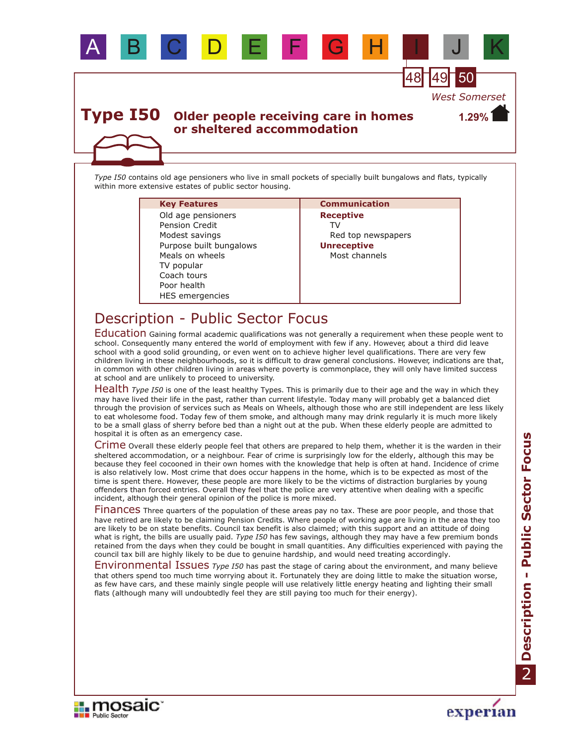

*Type I50* contains old age pensioners who live in small pockets of specially built bungalows and flats, typically within more extensive estates of public sector housing.

### **Key Features Communication**

HES emergencies Coach tours Modest savings Purpose built bungalows Meals on wheels Poor health TV popular Pension Credit Old age pensioners

**Receptive** TV Red top newspapers **Unreceptive** Most channels

# Description - Public Sector Focus

Education Gaining formal academic qualifications was not generally a requirement when these people went to school. Consequently many entered the world of employment with few if any. However, about a third did leave school with a good solid grounding, or even went on to achieve higher level qualifications. There are very few children living in these neighbourhoods, so it is difficult to draw general conclusions. However, indications are that, in common with other children living in areas where poverty is commonplace, they will only have limited success at school and are unlikely to proceed to university.

Health Type 150 is one of the least healthy Types. This is primarily due to their age and the way in which they may have lived their life in the past, rather than current lifestyle. Today many will probably get a balanced diet through the provision of services such as Meals on Wheels, although those who are still independent are less likely to eat wholesome food. Today few of them smoke, and although many may drink regularly it is much more likely to be a small glass of sherry before bed than a night out at the pub. When these elderly people are admitted to hospital it is often as an emergency case.

Crime Overall these elderly people feel that others are prepared to help them, whether it is the warden in their sheltered accommodation, or a neighbour. Fear of crime is surprisingly low for the elderly, although this may be because they feel cocooned in their own homes with the knowledge that help is often at hand. Incidence of crime is also relatively low. Most crime that does occur happens in the home, which is to be expected as most of the time is spent there. However, these people are more likely to be the victims of distraction burglaries by young offenders than forced entries. Overall they feel that the police are very attentive when dealing with a specific incident, although their general opinion of the police is more mixed.

Finances Three quarters of the population of these areas pay no tax. These are poor people, and those that have retired are likely to be claiming Pension Credits. Where people of working age are living in the area they too are likely to be on state benefits. Council tax benefit is also claimed; with this support and an attitude of doing what is right, the bills are usually paid. *Type I50* has few savings, although they may have a few premium bonds retained from the days when they could be bought in small quantities. Any difficulties experienced with paying the council tax bill are highly likely to be due to genuine hardship, and would need treating accordingly.

Environmental Issues Type 150 has past the stage of caring about the environment, and many believe that others spend too much time worrying about it. Fortunately they are doing little to make the situation worse, as few have cars, and these mainly single people will use relatively little energy heating and lighting their small flats (although many will undoubtedly feel they are still paying too much for their energy).



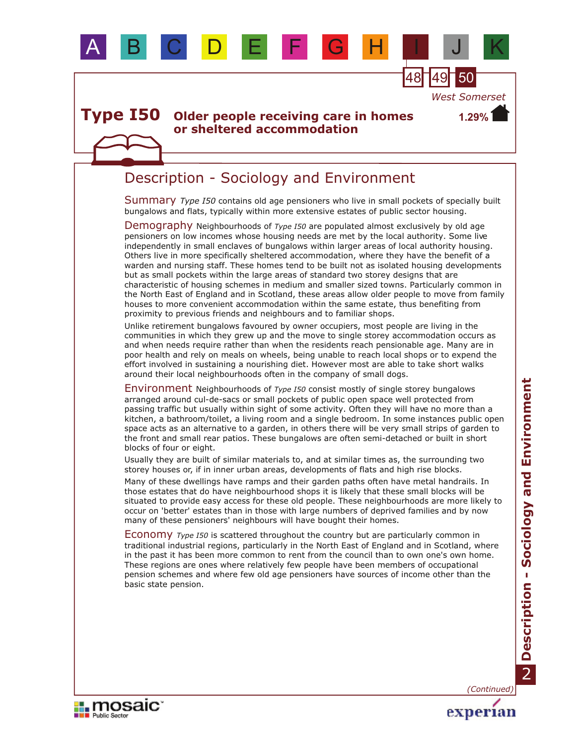

*West Somerset*

**1.29%**

#### **Older people receiving care in homes or sheltered accommodation Type I50**

## Description - Sociology and Environment

Summary Type 150 contains old age pensioners who live in small pockets of specially built bungalows and flats, typically within more extensive estates of public sector housing.

Demography Neighbourhoods of *Type 150* are populated almost exclusively by old age pensioners on low incomes whose housing needs are met by the local authority. Some live independently in small enclaves of bungalows within larger areas of local authority housing. Others live in more specifically sheltered accommodation, where they have the benefit of a warden and nursing staff. These homes tend to be built not as isolated housing developments but as small pockets within the large areas of standard two storey designs that are characteristic of housing schemes in medium and smaller sized towns. Particularly common in the North East of England and in Scotland, these areas allow older people to move from family houses to more convenient accommodation within the same estate, thus benefiting from proximity to previous friends and neighbours and to familiar shops.

Unlike retirement bungalows favoured by owner occupiers, most people are living in the communities in which they grew up and the move to single storey accommodation occurs as and when needs require rather than when the residents reach pensionable age. Many are in poor health and rely on meals on wheels, being unable to reach local shops or to expend the effort involved in sustaining a nourishing diet. However most are able to take short walks around their local neighbourhoods often in the company of small dogs.

Environment Neighbourhoods of *Type I50* consist mostly of single storey bungalows arranged around cul-de-sacs or small pockets of public open space well protected from passing traffic but usually within sight of some activity. Often they will have no more than a kitchen, a bathroom/toilet, a living room and a single bedroom. In some instances public open space acts as an alternative to a garden, in others there will be very small strips of garden to the front and small rear patios. These bungalows are often semi-detached or built in short blocks of four or eight.

Usually they are built of similar materials to, and at similar times as, the surrounding two storey houses or, if in inner urban areas, developments of flats and high rise blocks.

Many of these dwellings have ramps and their garden paths often have metal handrails. In those estates that do have neighbourhood shops it is likely that these small blocks will be situated to provide easy access for these old people. These neighbourhoods are more likely to occur on 'better' estates than in those with large numbers of deprived families and by now many of these pensioners' neighbours will have bought their homes.

Economy *Type I50* is scattered throughout the country but are particularly common in traditional industrial regions, particularly in the North East of England and in Scotland, where in the past it has been more common to rent from the council than to own one's own home. These regions are ones where relatively few people have been members of occupational pension schemes and where few old age pensioners have sources of income other than the basic state pension.

*(Continued)*

experian

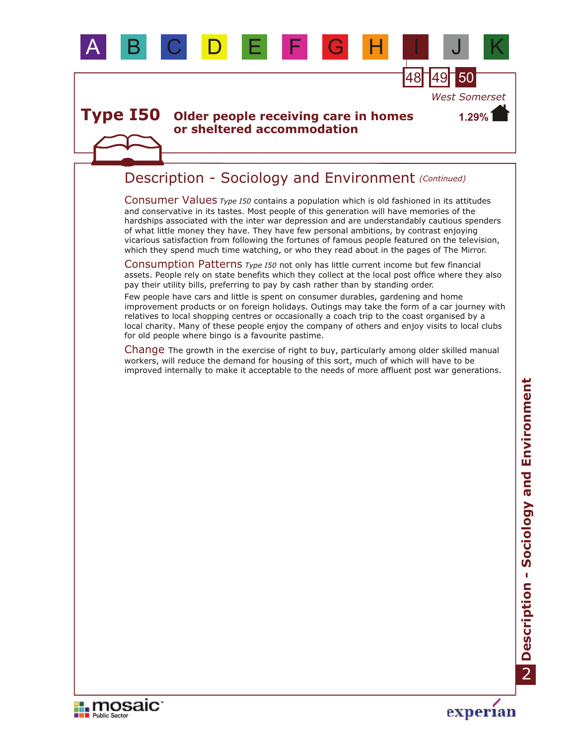



experian